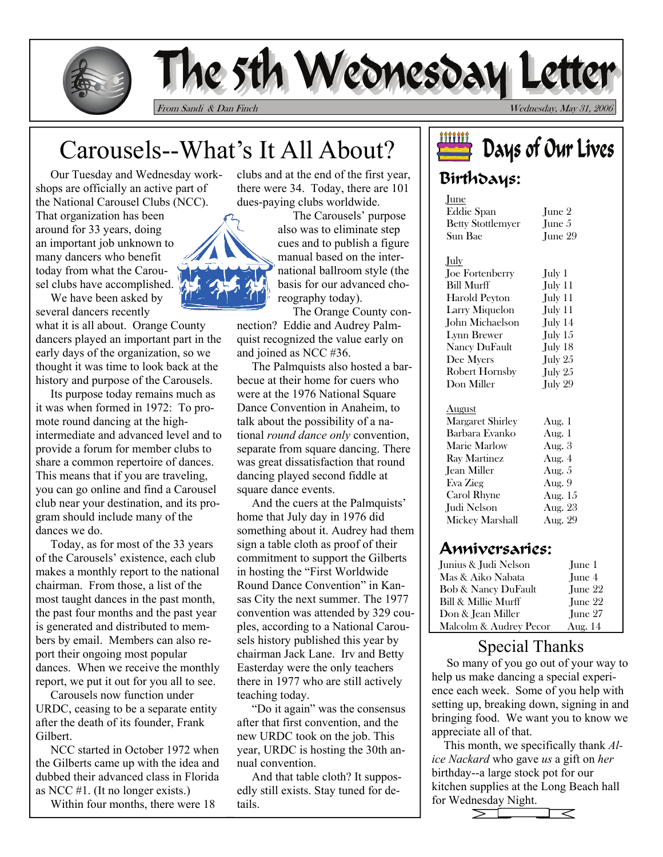

# The 5th Wednesday Lett

From Sandi & Dan Finch Wednesday, May 31, 2006

# Carousels--What's It All About?

 Our Tuesday and Wednesday workshops are officially an active part of the National Carousel Clubs (NCC).

That organization has been around for 33 years, doing an important job unknown to many dancers who benefit today from what the Carousel clubs have accomplished.

 We have been asked by several dancers recently

what it is all about. Orange County dancers played an important part in the early days of the organization, so we thought it was time to look back at the history and purpose of the Carousels.

 Its purpose today remains much as it was when formed in 1972: To promote round dancing at the highintermediate and advanced level and to provide a forum for member clubs to share a common repertoire of dances. This means that if you are traveling, you can go online and find a Carousel club near your destination, and its program should include many of the dances we do.

 Today, as for most of the 33 years of the Carousels' existence, each club makes a monthly report to the national chairman. From those, a list of the most taught dances in the past month, the past four months and the past year is generated and distributed to members by email. Members can also report their ongoing most popular dances. When we receive the monthly report, we put it out for you all to see.

 Carousels now function under URDC, ceasing to be a separate entity after the death of its founder, Frank Gilbert.

 NCC started in October 1972 when the Gilberts came up with the idea and dubbed their advanced class in Florida as NCC #1. (It no longer exists.)

Within four months, there were 18

clubs and at the end of the first year, there were 34. Today, there are 101 dues-paying clubs worldwide.

 The Carousels' purpose also was to eliminate step cues and to publish a figure manual based on the international ballroom style (the basis for our advanced choreography today).

 The Orange County connection? Eddie and Audrey Palmquist recognized the value early on and joined as NCC #36.

The Palmquists also hosted a barbecue at their home for cuers who were at the 1976 National Square Dance Convention in Anaheim, to talk about the possibility of a national *round dance only* convention, separate from square dancing. There was great dissatisfaction that round dancing played second fiddle at square dance events.

 And the cuers at the Palmquists' home that July day in 1976 did something about it. Audrey had them sign a table cloth as proof of their commitment to support the Gilberts in hosting the "First Worldwide Round Dance Convention" in Kansas City the next summer. The 1977 convention was attended by 329 couples, according to a National Carousels history published this year by chairman Jack Lane. Irv and Betty Easterday were the only teachers there in 1977 who are still actively teaching today.

 "Do it again" was the consensus after that first convention, and the new URDC took on the job. This year, URDC is hosting the 30th annual convention.

 And that table cloth? It supposedly still exists. Stay tuned for details.



## Birthdays:

| June<br><b>Eddie Span</b>      | June 2   |
|--------------------------------|----------|
| <b>Betty Stottlemyer</b>       | June $5$ |
| Sun Bae                        | June 29  |
| July<br><b>Joe Fortenberry</b> | July 1   |
| <b>Bill Murff</b>              | July 11  |
| <b>Harold Peyton</b>           | July 11  |
| Larry Miquelon                 | July 11  |
|                                |          |
| John Michaelson                | July 14  |
| Lynn Brewer                    | July 15  |
| Nancy DuFault                  | July 18  |
| Dee Myers                      | July 25  |
| <b>Robert Hornsby</b>          | July 25  |
| Don Miller                     | July 29  |
| August                         |          |
| <b>Margaret Shirley</b>        | Aug. 1   |
| Barbara Evanko                 | Aug. 1   |
| Marie Marlow                   | Aug. 3   |
| <b>Ray Martinez</b>            | Aug. 4   |
| Jean Miller                    | Aug. $5$ |
| Eva Zieg                       | Aug. 9   |
| Carol Rhyne                    | Aug. 15  |
| Judi Nelson                    | Aug. 23  |
| Mickey Marshall                | Aug. 29  |
|                                |          |

#### Anniversaries:

| Junius & Judi Nelson           | June 1  |
|--------------------------------|---------|
| Mas & Aiko Nabata              | June 4  |
| <b>Bob &amp; Nancy DuFault</b> | June 22 |
| Bill & Millie Murff            | June 22 |
| Don & Jean Miller              | June 27 |
| Malcolm & Audrey Pecor         | Aug. 14 |

### Special Thanks

 So many of you go out of your way to help us make dancing a special experience each week. Some of you help with setting up, breaking down, signing in and bringing food. We want you to know we appreciate all of that.

 This month, we specifically thank *Alice Nackard* who gave *us* a gift on *her* birthday--a large stock pot for our kitchen supplies at the Long Beach hall for Wednesday Night.